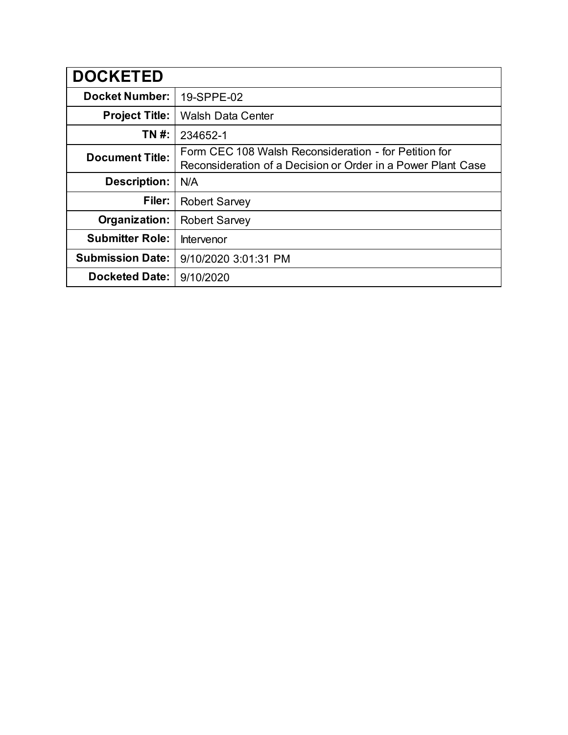| <b>DOCKETED</b>         |                                                                                                                       |
|-------------------------|-----------------------------------------------------------------------------------------------------------------------|
| <b>Docket Number:</b>   | 19-SPPE-02                                                                                                            |
| <b>Project Title:</b>   | <b>Walsh Data Center</b>                                                                                              |
| TN #:                   | 234652-1                                                                                                              |
| <b>Document Title:</b>  | Form CEC 108 Walsh Reconsideration - for Petition for<br>Reconsideration of a Decision or Order in a Power Plant Case |
| <b>Description:</b>     | N/A                                                                                                                   |
| Filer:                  | <b>Robert Sarvey</b>                                                                                                  |
| Organization:           | <b>Robert Sarvey</b>                                                                                                  |
| <b>Submitter Role:</b>  | Intervenor                                                                                                            |
| <b>Submission Date:</b> | 9/10/2020 3:01:31 PM                                                                                                  |
| <b>Docketed Date:</b>   | 9/10/2020                                                                                                             |